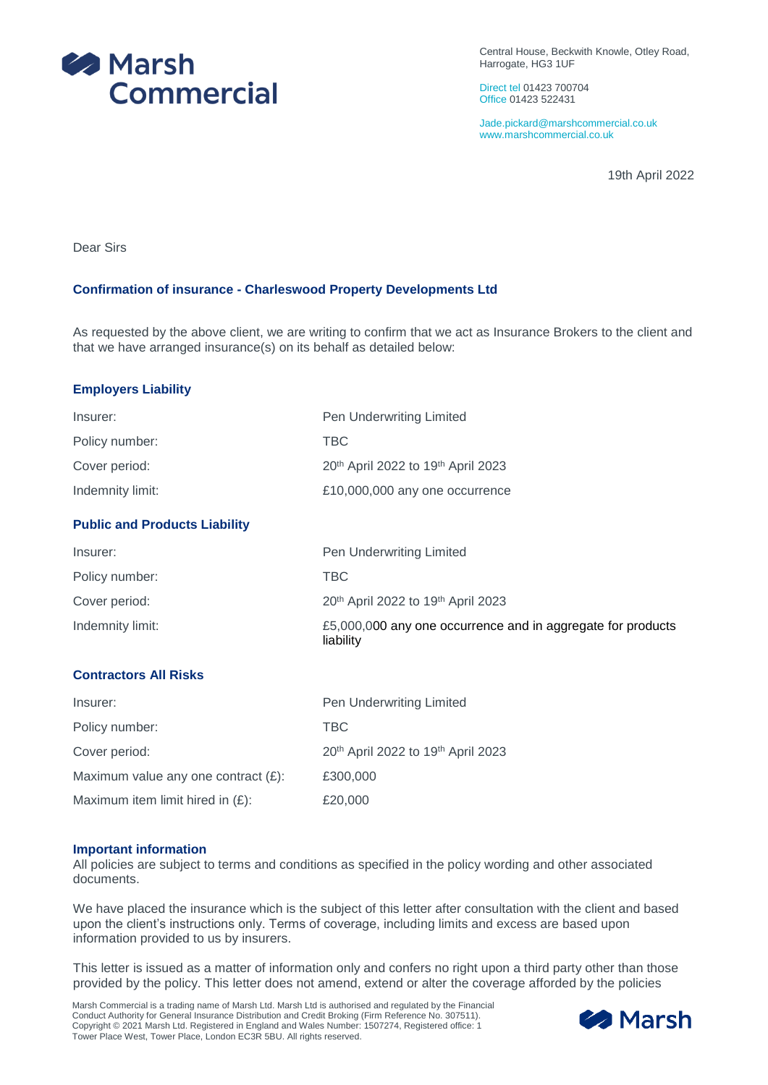

Central House, Beckwith Knowle, Otley Road, Harrogate, HG3 1UF

Direct tel 01423 700704 Office 01423 522431

Jade.pickard@marshcommercial.co.uk www.marshcommercial.co.uk

19th April 2022

Dear Sirs

## **Confirmation of insurance - Charleswood Property Developments Ltd**

As requested by the above client, we are writing to confirm that we act as Insurance Brokers to the client and that we have arranged insurance(s) on its behalf as detailed below:

### **Employers Liability**

| Insurer:         | Pen Underwriting Limited           |
|------------------|------------------------------------|
| Policy number:   | <b>TBC</b>                         |
| Cover period:    | 20th April 2022 to 19th April 2023 |
| Indemnity limit: | £10,000,000 any one occurrence     |

## **Public and Products Liability**

| Insurer:         | Pen Underwriting Limited                                                 |
|------------------|--------------------------------------------------------------------------|
| Policy number:   | TBC.                                                                     |
| Cover period:    | 20 <sup>th</sup> April 2022 to 19 <sup>th</sup> April 2023               |
| Indemnity limit: | £5,000,000 any one occurrence and in aggregate for products<br>liability |

# **Contractors All Risks**

| Insurer:                               | Pen Underwriting Limited                                   |
|----------------------------------------|------------------------------------------------------------|
| Policy number:                         | <b>TBC</b>                                                 |
| Cover period:                          | 20 <sup>th</sup> April 2022 to 19 <sup>th</sup> April 2023 |
| Maximum value any one contract $(E)$ : | £300,000                                                   |
| Maximum item limit hired in $(E)$ :    | £20,000                                                    |

### **Important information**

All policies are subject to terms and conditions as specified in the policy wording and other associated documents.

We have placed the insurance which is the subject of this letter after consultation with the client and based upon the client's instructions only. Terms of coverage, including limits and excess are based upon information provided to us by insurers.

This letter is issued as a matter of information only and confers no right upon a third party other than those provided by the policy. This letter does not amend, extend or alter the coverage afforded by the policies

Marsh Commercial is a trading name of Marsh Ltd. Marsh Ltd is authorised and regulated by the Financial Conduct Authority for General Insurance Distribution and Credit Broking (Firm Reference No. 307511). Copyright © 2021 Marsh Ltd. Registered in England and Wales Number: 1507274, Registered office: 1 Tower Place West, Tower Place, London EC3R 5BU. All rights reserved.